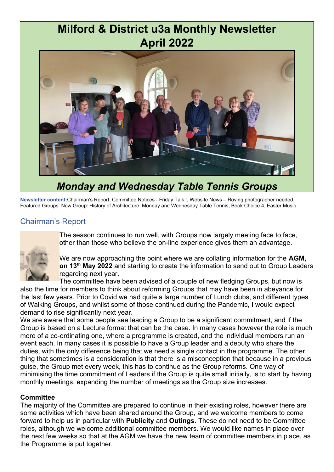# **Milford & District u3a Monthly Newsletter April 2022**



# *Monday and Wednesday Table Tennis Groups*

**Newsletter content:**Chairman's Report, Committee Notices - Friday Talk:**',** Website News – Roving photographer needed. Featured Groups: New Group: History of Architecture, Monday and Wednesday Table Tennis, Book Choice 4, Easter Music.

#### Chairman's Report



The season continues to run well, with Groups now largely meeting face to face, other than those who believe the on-line experience gives them an advantage.

We are now approaching the point where we are collating information for the **AGM, on 13th May 2022** and starting to create the information to send out to Group Leaders regarding next year.

The committee have been advised of a couple of new fledging Groups, but now is also the time for members to think about reforming Groups that may have been in abeyance for the last few years. Prior to Covid we had quite a large number of Lunch clubs, and different types of Walking Groups, and whilst some of those continued during the Pandemic, I would expect demand to rise significantly next year.

We are aware that some people see leading a Group to be a significant commitment, and if the Group is based on a Lecture format that can be the case. In many cases however the role is much more of a co-ordinating one, where a programme is created, and the individual members run an event each. In many cases it is possible to have a Group leader and a deputy who share the duties, with the only difference being that we need a single contact in the programme. The other thing that sometimes is a consideration is that there is a misconception that because in a previous guise, the Group met every week, this has to continue as the Group reforms. One way of minimising the time commitment of Leaders if the Group is quite small initially, is to start by having monthly meetings, expanding the number of meetings as the Group size increases.

#### **Committee**

The majority of the Committee are prepared to continue in their existing roles, however there are some activities which have been shared around the Group, and we welcome members to come forward to help us in particular with **Publicity** and **Outings**. These do not need to be Committee roles, although we welcome additional committee members. We would like names in place over the next few weeks so that at the AGM we have the new team of committee members in place, as the Programme is put together.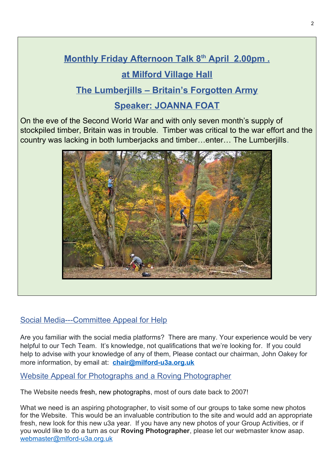# **Monthly Friday Afternoon Talk 8<sup>th</sup> April 2.00pm. at Milford Village Hall**

## **The Lumberjills – Britain's Forgotten Army**

# **Speaker: JOANNA FOAT**

On the eve of the Second World War and with only seven month's supply of stockpiled timber, Britain was in trouble. Timber was critical to the war effort and the country was lacking in both lumberjacks and timber…enter… The Lumberjills.



### Social Media---Committee Appeal for Help

Are you familiar with the social media platforms? There are many. Your experience would be very helpful to our Tech Team. It's knowledge, not qualifications that we're looking for. If you could help to advise with your knowledge of any of them, Please contact our chairman, John Oakey for more information, by email at: **chair@milford-u3a.org.uk**

#### Website Appeal for Photographs and a Roving Photographer

The Website needs fresh, new photographs, most of ours date back to 2007!

What we need is an aspiring photographer, to visit some of our groups to take some new photos for the Website. This would be an invaluable contribution to the site and would add an appropriate fresh, new look for this new u3a year. If you have any new photos of your Group Activities, or if you would like to do a turn as our **Roving Photographer**, please let our webmaster know asap. [webmaster@mlford-u3a.org.uk](../../../../C:/Users/User/Documents/Milford%20u3a%20Newsletter/webmaster@mlford-u3a.org.uk)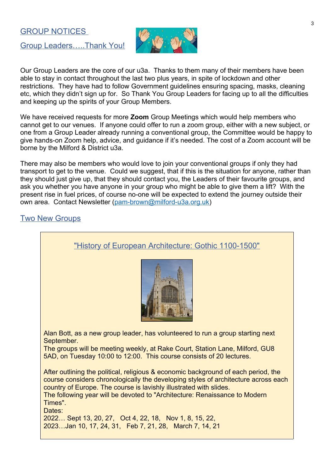#### GROUP NOTICES

Group Leaders…..Thank You!



Our Group Leaders are the core of our u3a. Thanks to them many of their members have been able to stay in contact throughout the last two plus years, in spite of lockdown and other restrictions. They have had to follow Government guidelines ensuring spacing, masks, cleaning etc, which they didn't sign up for. So Thank You Group Leaders for facing up to all the difficulties and keeping up the spirits of your Group Members.

We have received requests for more **Zoom** Group Meetings which would help members who cannot get to our venues. If anyone could offer to run a zoom group, either with a new subject, or one from a Group Leader already running a conventional group, the Committee would be happy to give hands-on Zoom help, advice, and guidance if it's needed. The cost of a Zoom account will be borne by the Milford & District u3a.

There may also be members who would love to join your conventional groups if only they had transport to get to the venue. Could we suggest, that if this is the situation for anyone, rather than they should just give up, that they should contact you, the Leaders of their favourite groups, and ask you whether you have anyone in your group who might be able to give them a lift? With the present rise in fuel prices, of course no-one will be expected to extend the journey outside their own area. Contact Newsletter [\(pam-brown@milford-u3a.org.uk](mailto:pam-brown@milford-u3a.org.uk))

#### Two New Groups

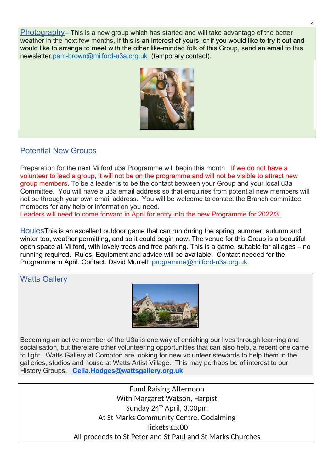Photography– This is a new group which has started and will take advantage of the better weather in the next few months, If this is an interest of yours, or if you would like to try it out and would like to arrange to meet with the other like-minded folk of this Group, send an email to this newsletter[.pam-brown@milford-u3a.org.uk](./pam-brown@milford-u3a.org.uk%20) (temporary contact).



#### Potential New Groups

Preparation for the next Milford u3a Programme will begin this month. If we do not have a volunteer to lead a group, it will not be on the programme and will not be visible to attract new group members. To be a leader is to be the contact between your Group and your local u3a Committee. You will have a u3a email address so that enquiries from potential new members will not be through your own email address. You will be welcome to contact the Branch committee members for any help or information you need.

Leaders will need to come forward in April for entry into the new Programme for 2022/3

BoulesThis is an excellent outdoor game that can run during the spring, summer, autumn and winter too, weather permitting, and so it could begin now. The venue for this Group is a beautiful open space at Milford, with lovely trees and free parking. This is a game, suitable for all ages – no running required. Rules, Equipment and advice will be available. Contact needed for the Programme in April. Contact: David Murrell: programme@milford-u3a.org.uk.

Watts Gallery



Becoming an active member of the U3a is one way of enriching our lives through learning and socialisation, but there are other volunteering opportunities that can also help, a recent one came to light...Watts Gallery at Compton are looking for new volunteer stewards to help them in the galleries, studios and house at Watts Artist Village. This may perhaps be of interest to our History Groups. **Celia.Hodges@wattsgallery.org.uk**

> Fund Raising Afternoon With Margaret Watson, Harpist Sunday 24<sup>th</sup> April, 3.00pm At St Marks Community Centre, Godalming Tickets £5.00 All proceeds to St Peter and St Paul and St Marks Churches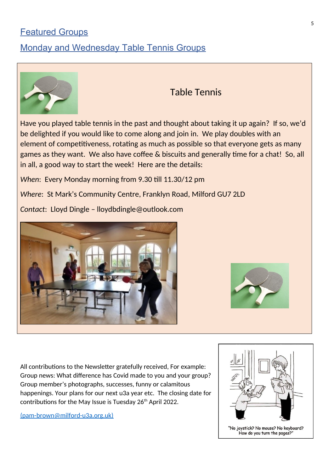### Featured Groups

### Monday and Wednesday Table Tennis Groups



## Table Tennis

Have you played table tennis in the past and thought about taking it up again? If so, we'd be delighted if you would like to come along and join in. We play doubles with an element of competitiveness, rotating as much as possible so that everyone gets as many games as they want. We also have coffee & biscuits and generally time for a chat! So, all in all, a good way to start the week! Here are the details:

*When*: Every Monday morning from 9.30 till 11.30/12 pm

*Where*: St Mark's Community Centre, Franklyn Road, Milford GU7 2LD

*Contact*: Lloyd Dingle – lloydbdingle@outlook.com





All contributions to the Newsletter gratefully received, For example: Group news: What difference has Covid made to you and your group? Group member's photographs, successes, funny or calamitous happenings. Your plans for our next u3a year etc. The closing date for contributions for the May Issue is Tuesday 26<sup>th</sup> April 2022.

[\(pam-brown@milford-u3a.org.uk\)](../../../../C:/Users/User/Documents/Milford%20u3a%20Newsletter/(pam-brown@milford-u3a.org.uk))